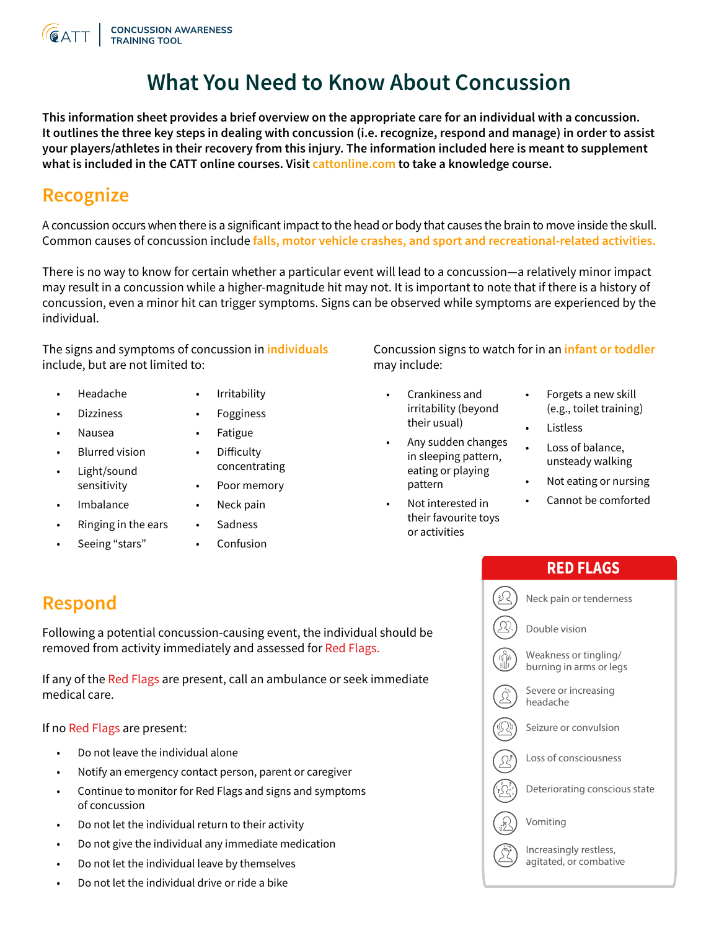

# **What You Need to Know About Concussion**

**This information sheet provides a brief overview on the appropriate care for an individual with a concussion. It outlines the three key steps in dealing with concussion (i.e. recognize, respond and manage) in order to assist your players/athletes in their recovery from this injury. The information included here is meant to supplement what is included in the CATT online courses. Visit [cattonline.com](http://cattonline.com) to take a knowledge course.**

## **Recognize**

A concussion occurs when there is a significant impact to the head or body that causes the brain to move inside the skull. Common causes of concussion include **falls, motor vehicle crashes, and sport and recreational-related activities.** 

There is no way to know for certain whether a particular event will lead to a concussion—a relatively minor impact may result in a concussion while a higher-magnitude hit may not. It is important to note that if there is a history of concussion, even a minor hit can trigger symptoms. Signs can be observed while symptoms are experienced by the individual.

The signs and symptoms of concussion in **individuals** include, but are not limited to:

- Headache
- **Irritability**
- Dizziness • Nausea
- **Fatigue**

• Fogginess

- Blurred vision
- Light/sound • Difficulty concentrating
	- Poor memory

Neck pain

**Imbalance** 

sensitivity

- Ringing in the ears
- Seeing "stars"
- **Sadness**
- Confusion

Concussion signs to watch for in an **infant or toddler**  may include:

- Crankiness and irritability (beyond their usual)
- Any sudden changes in sleeping pattern, eating or playing pattern
- Not interested in their favourite toys or activities
- Forgets a new skill (e.g., toilet training)
- **Listless**
- Loss of balance, unsteady walking
- Not eating or nursing
- Cannot be comforted

Following a potential concussion-causing event, the individual should be removed from activity immediately and assessed for Red Flags.

If any of the Red Flags are present, call an ambulance or seek immediate medical care.

If no Red Flags are present:

- Do not leave the individual alone
- Notify an emergency contact person, parent or caregiver
- Continue to monitor for Red Flags and signs and symptoms of concussion
- Do not let the individual return to their activity
- Do not give the individual any immediate medication
- Do not let the individual leave by themselves
- Do not let the individual drive or ride a bike